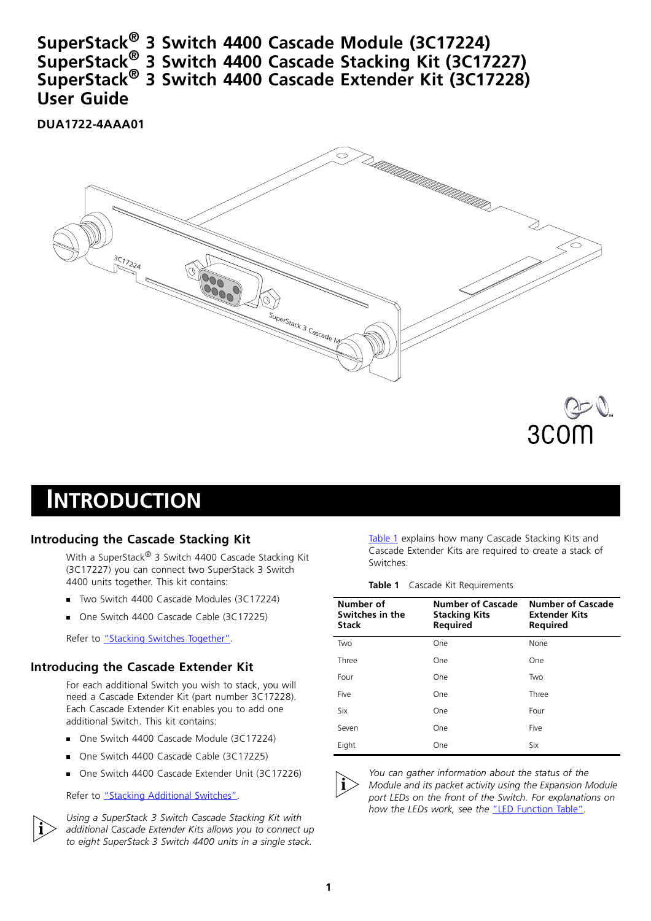**SuperStack® 3 Switch 4400 Cascade Module (3C17224) SuperStack® 3 Switch 4400 Cascade Stacking Kit (3C17227) SuperStack® 3 Switch 4400 Cascade Extender Kit (3C17228) User Guide**

**DUA1722-4AAA01**



## **INTRODUCTION**

#### **Introducing the Cascade Stacking Kit**

With a SuperStack<sup>®</sup> 3 Switch 4400 Cascade Stacking Kit (3C17227) you can connect two SuperStack 3 Switch 4400 units together. This kit contains:

- Two Switch 4400 Cascade Modules (3C17224)
- One Switch 4400 Cascade Cable (3C17225)

Refer to ["Stacking Switches Together".](#page-2-0)

#### **Introducing the Cascade Extender Kit**

For each additional Switch you wish to stack, you will need a Cascade Extender Kit (part number 3C17228). Each Cascade Extender Kit enables you to add one additional Switch. This kit contains:

- One Switch 4400 Cascade Module (3C17224)
- One Switch 4400 Cascade Cable (3C17225)
- One Switch 4400 Cascade Extender Unit (3C17226)

Refer to ["Stacking Additional Switches".](#page-2-1)



*Using a SuperStack 3 Switch Cascade Stacking Kit with additional Cascade Extender Kits allows you to connect up to eight SuperStack 3 Switch 4400 units in a single stack.*

[Table 1](#page-0-0) explains how many Cascade Stacking Kits and Cascade Extender Kits are required to create a stack of Switches.

**Table 1** Cascade Kit Requirements

<span id="page-0-0"></span>

| Number of<br>Switches in the<br><b>Stack</b> | <b>Number of Cascade</b><br><b>Stacking Kits</b><br>Required | <b>Number of Cascade</b><br><b>Extender Kits</b><br>Required |  |
|----------------------------------------------|--------------------------------------------------------------|--------------------------------------------------------------|--|
| Two                                          | One                                                          | None                                                         |  |
| Three                                        | <b>One</b>                                                   | One                                                          |  |
| Four                                         | <b>One</b>                                                   | Two                                                          |  |
| Five                                         | <b>One</b>                                                   | Three                                                        |  |
| Six                                          | One                                                          | Four                                                         |  |
| Seven                                        | One                                                          | Five                                                         |  |
| Eight                                        | One                                                          | Six                                                          |  |



 $\overline{1}$ 

*You can gather information about the status of the Module and its packet activity using the Expansion Module port LEDs on the front of the Switch. For explanations on how the LEDs work, see the* ["LED Function Table"](#page-3-0)*.*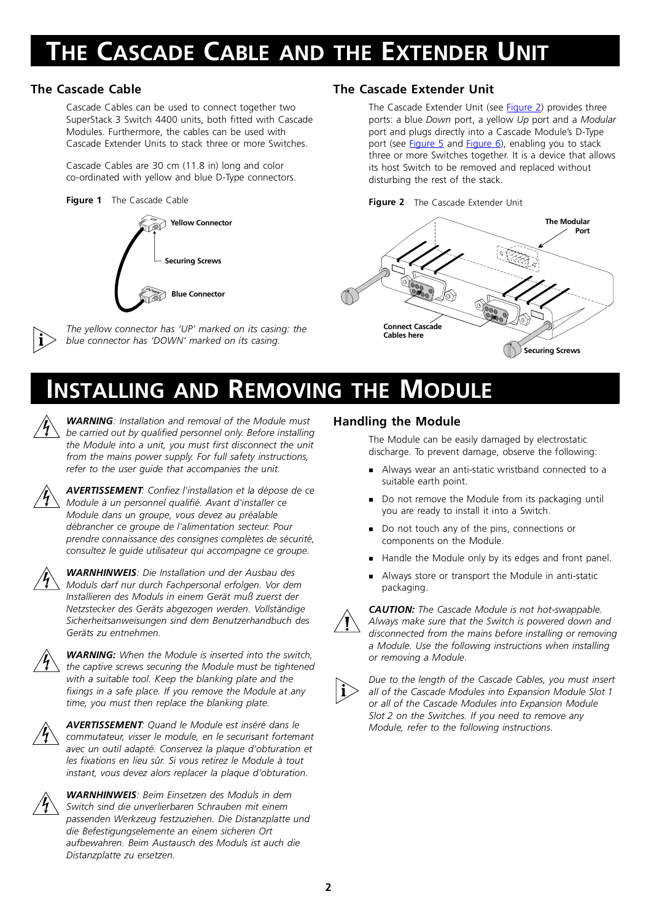# **THE CASCADE CABLE AND THE EXTENDER UNIT**

### **The Cascade Cable**

Cascade Cables can be used to connect together two SuperStack 3 Switch 4400 units, both fitted with Cascade Modules. Furthermore, the cables can be used with Cascade Extender Units to stack three or more Switches.

Cascade Cables are 30 cm (11.8 in) long and color co-ordinated with yellow and blue D-Type connectors.

#### **Figure 1** The Cascade Cable





*The yellow connector has 'UP' marked on its casing: the blue connector has 'DOWN' marked on its casing.* 

#### **The Cascade Extender Unit**

The Cascade Extender Unit (see [Figure 2](#page-1-0)) provides three ports: a blue *Down* port, a yellow *Up* port and a *Modular* port and plugs directly into a Cascade Module's D-Type port (see [Figure 5](#page-3-2) and Figure  $6$ ), enabling you to stack three or more Switches together. It is a device that allows its host Switch to be removed and replaced without disturbing the rest of the stack.



<span id="page-1-0"></span>

## **INSTALLING AND REMOVING THE MODULE**



*WARNING: Installation and removal of the Module must be carried out by qualified personnel only. Before installing the Module into a unit, you must first disconnect the unit from the mains power supply. For full safety instructions, refer to the user guide that accompanies the unit.*



*AVERTISSEMENT: Confiez l'installation et la dépose de ce Module à un personnel qualifié. Avant d'installer ce Module dans un groupe, vous devez au préalable débrancher ce groupe de l'alimentation secteur. Pour prendre connaissance des consignes complètes de sécurité, consultez le guide utilisateur qui accompagne ce groupe.*



*WARNHINWEIS: Die Installation und der Ausbau des Moduls darf nur durch Fachpersonal erfolgen. Vor dem Installieren des Moduls in einem Gerät muß zuerst der Netzstecker des Geräts abgezogen werden. Vollständige Sicherheitsanweisungen sind dem Benutzerhandbuch des Geräts zu entnehmen.*



*WARNING: When the Module is inserted into the switch, the captive screws securing the Module must be tightened with a suitable tool. Keep the blanking plate and the fixings in a safe place. If you remove the Module at any time, you must then replace the blanking plate.*



*AVERTISSEMENT: Quand le Module est inséré dans le commutateur, visser le module, en le securisant fortemant avec un outil adapté. Conservez la plaque d'obturation et les fixations en lieu sûr. Si vous retirez le Module à tout instant, vous devez alors replacer la plaque d'obturation.*



*WARNHINWEIS: Beim Einsetzen des Moduls in dem Switch sind die unverlierbaren Schrauben mit einem passenden Werkzeug festzuziehen. Die Distanzplatte und die Befestigungselemente an einem sicheren Ort aufbewahren. Beim Austausch des Moduls ist auch die Distanzplatte zu ersetzen.*

### **Handling the Module**

The Module can be easily damaged by electrostatic discharge. To prevent damage, observe the following:

- Always wear an anti-static wristband connected to a suitable earth point.
- Do not remove the Module from its packaging until you are ready to install it into a Switch.
- n. Do not touch any of the pins, connections or components on the Module.
- n. Handle the Module only by its edges and front panel.
- n. Always store or transport the Module in anti-static packaging.

 $\overline{\phantom{a}}$ 

*CAUTION: The Cascade Module is not hot-swappable. Always make sure that the Switch is powered down and disconnected from the mains before installing or removing a Module. Use the following instructions when installing or removing a Module.*



*Due to the length of the Cascade Cables, you must insert all of the Cascade Modules into Expansion Module Slot 1 or all of the Cascade Modules into Expansion Module Slot 2 on the Switches. If you need to remove any Module, refer to the following instructions.*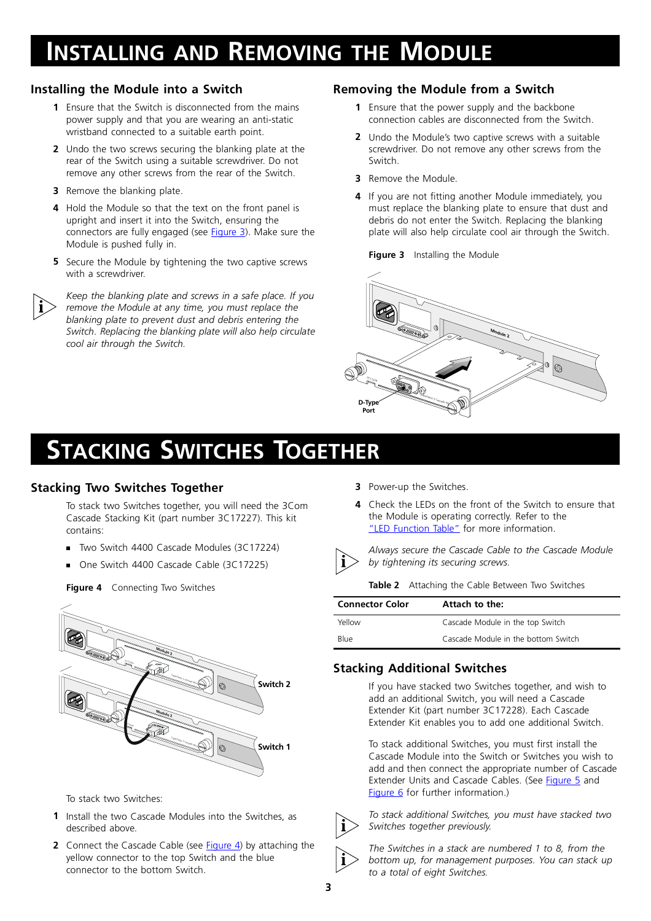## **INSTALLING AND REMOVING THE MODULE**

#### <span id="page-2-4"></span>**Installing the Module into a Switch**

- **1** Ensure that the Switch is disconnected from the mains power supply and that you are wearing an anti-static wristband connected to a suitable earth point.
- **2** Undo the two screws securing the blanking plate at the rear of the Switch using a suitable screwdriver. Do not remove any other screws from the rear of the Switch.
- **3** Remove the blanking plate.

 $\frac{1}{2}$ 

- **4** Hold the Module so that the text on the front panel is upright and insert it into the Switch, ensuring the connectors are fully engaged (see **[Figure 3](#page-2-3)**). Make sure the Module is pushed fully in.
- **5** Secure the Module by tightening the two captive screws with a screwdriver.

*Keep the blanking plate and screws in a safe place. If you remove the Module at any time, you must replace the blanking plate to prevent dust and debris entering the Switch. Replacing the blanking plate will also help circulate cool air through the Switch.*

### **Removing the Module from a Switch**

- **1** Ensure that the power supply and the backbone connection cables are disconnected from the Switch.
- **2** Undo the Module's two captive screws with a suitable screwdriver. Do not remove any other screws from the Switch.
- **3** Remove the Module.
- **4** If you are not fitting another Module immediately, you must replace the blanking plate to ensure that dust and debris do not enter the Switch. Replacing the blanking plate will also help circulate cool air through the Switch.
	- **Figure 3** Installing the Module

<span id="page-2-3"></span>

## <span id="page-2-0"></span>**STACKING SWITCHES TOGETHER**

### **Stacking Two Switches Together**

To stack two Switches together, you will need the 3Com Cascade Stacking Kit (part number 3C17227). This kit contains:

- $\blacksquare$ Two Switch 4400 Cascade Modules (3C17224)
- One Switch 4400 Cascade Cable (3C17225)

<span id="page-2-2"></span>

**Figure 4** Connecting Two Switches

To stack two Switches:

- **1** Install the two Cascade Modules into the Switches, as described above.
- **2** Connect the Cascade Cable (see [Figure 4](#page-2-2)) by attaching the yellow connector to the top Switch and the blue connector to the bottom Switch.
- **3** Power-up the Switches.
- **4** Check the LEDs on the front of the Switch to ensure that the Module is operating correctly. Refer to the ["LED Function Table"](#page-3-0) for more information.



*Always secure the Cascade Cable to the Cascade Module by tightening its securing screws.*

**Table 2** Attaching the Cable Between Two Switches

| <b>Connector Color</b> | Attach to the:                      |
|------------------------|-------------------------------------|
| Yellow                 | Cascade Module in the top Switch    |
| Blue                   | Cascade Module in the bottom Switch |

### <span id="page-2-1"></span>**Stacking Additional Switches**

If you have stacked two Switches together, and wish to add an additional Switch, you will need a Cascade Extender Kit (part number 3C17228). Each Cascade Extender Kit enables you to add one additional Switch.

To stack additional Switches, you must first install the Cascade Module into the Switch or Switches you wish to add and then connect the appropriate number of Cascade Extender Units and Cascade Cables. (See [Figure 5](#page-3-2) and [Figure 6](#page-3-1) for further information.)



 $\overline{1}$ 

*To stack additional Switches, you must have stacked two Switches together previously.* 

*The Switches in a stack are numbered 1 to 8, from the bottom up, for management purposes. You can stack up to a total of eight Switches.*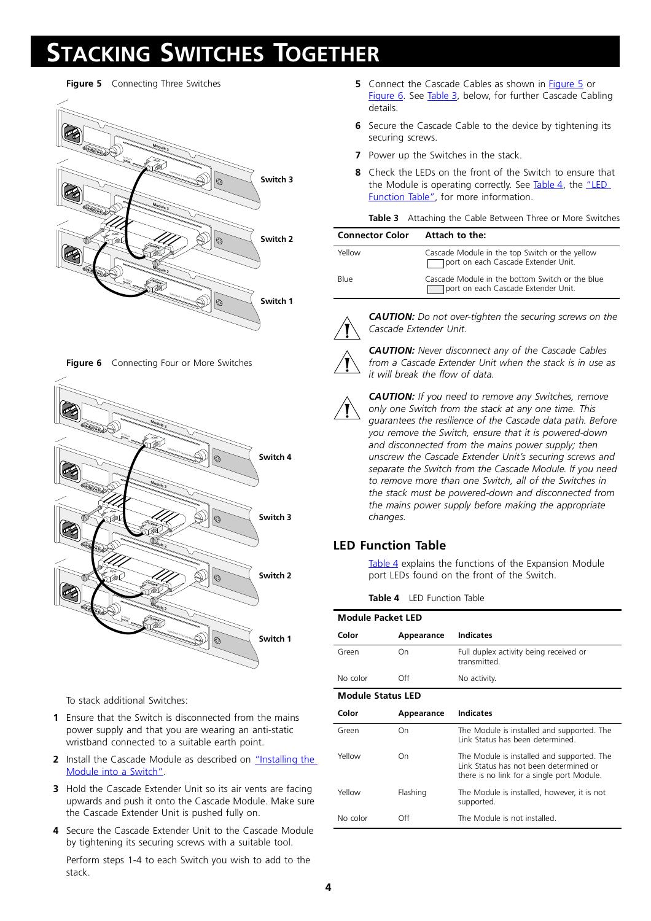# **STACKING SWITCHES TOGETHER**

<span id="page-3-2"></span>**Figure 5** Connecting Three Switches



**Figure 6** Connecting Four or More Switches

<span id="page-3-1"></span>

To stack additional Switches:

- **1** Ensure that the Switch is disconnected from the mains power supply and that you are wearing an anti-static wristband connected to a suitable earth point.
- **2** Install the Cascade Module as described on "Installing the [Module into a Switch"](#page-2-4).
- **3** Hold the Cascade Extender Unit so its air vents are facing upwards and push it onto the Cascade Module. Make sure the Cascade Extender Unit is pushed fully on.
- **4** Secure the Cascade Extender Unit to the Cascade Module by tightening its securing screws with a suitable tool.

Perform steps 1-4 to each Switch you wish to add to the stack.

- **5** Connect the Cascade Cables as shown in [Figure 5](#page-3-2) or [Figure 6](#page-3-1). See [Table 3,](#page-3-3) below, for further Cascade Cabling details.
- **6** Secure the Cascade Cable to the device by tightening its securing screws.
- **7** Power up the Switches in the stack.
- **8** Check the LEDs on the front of the Switch to ensure that the Module is operating correctly. See [Table 4,](#page-3-0) the "LED [Function Table",](#page-3-0) for more information.

**Table 3** Attaching the Cable Between Three or More Switches

<span id="page-3-3"></span>

| <b>Connector Color</b> | Attach to the:                                                                         |
|------------------------|----------------------------------------------------------------------------------------|
| Yellow                 | Cascade Module in the top Switch or the yellow<br>port on each Cascade Extender Unit.  |
| Blue                   | Cascade Module in the bottom Switch or the blue<br>port on each Cascade Extender Unit. |



*CAUTION: Do not over-tighten the securing screws on the Cascade Extender Unit.*

*CAUTION: Never disconnect any of the Cascade Cables from a Cascade Extender Unit when the stack is in use as* 

 $\mathbf{r}$ 

 $\mathbf{r}$ 

*CAUTION: If you need to remove any Switches, remove only one Switch from the stack at any one time. This guarantees the resilience of the Cascade data path. Before you remove the Switch, ensure that it is powered-down and disconnected from the mains power supply; then unscrew the Cascade Extender Unit's securing screws and separate the Switch from the Cascade Module. If you need to remove more than one Switch, all of the Switches in the stack must be powered-down and disconnected from the mains power supply before making the appropriate changes.*

## **LED Function Table**

[Table 4](#page-3-0) explains the functions of the Expansion Module port LEDs found on the front of the Switch.

**Table 4** LED Function Table

*it will break the flow of data.* 

<span id="page-3-0"></span>

| <b>Module Packet LED</b> |            |                                                                                                                                    |  |  |  |  |
|--------------------------|------------|------------------------------------------------------------------------------------------------------------------------------------|--|--|--|--|
| Color                    | Appearance | <b>Indicates</b>                                                                                                                   |  |  |  |  |
| Green                    | On         | Full duplex activity being received or<br>transmitted.                                                                             |  |  |  |  |
| No color                 | Off        | No activity.                                                                                                                       |  |  |  |  |
| <b>Module Status LED</b> |            |                                                                                                                                    |  |  |  |  |
| Color                    | Appearance | <b>Indicates</b>                                                                                                                   |  |  |  |  |
| Green                    | On         | The Module is installed and supported. The<br>Link Status has been determined                                                      |  |  |  |  |
| Yellow                   | On         | The Module is installed and supported. The<br>Link Status has not been determined or<br>there is no link for a single port Module. |  |  |  |  |
| Yellow                   | Flashing   | The Module is installed, however, it is not<br>supported.                                                                          |  |  |  |  |
| No color                 | ∩ff        | The Module is not installed                                                                                                        |  |  |  |  |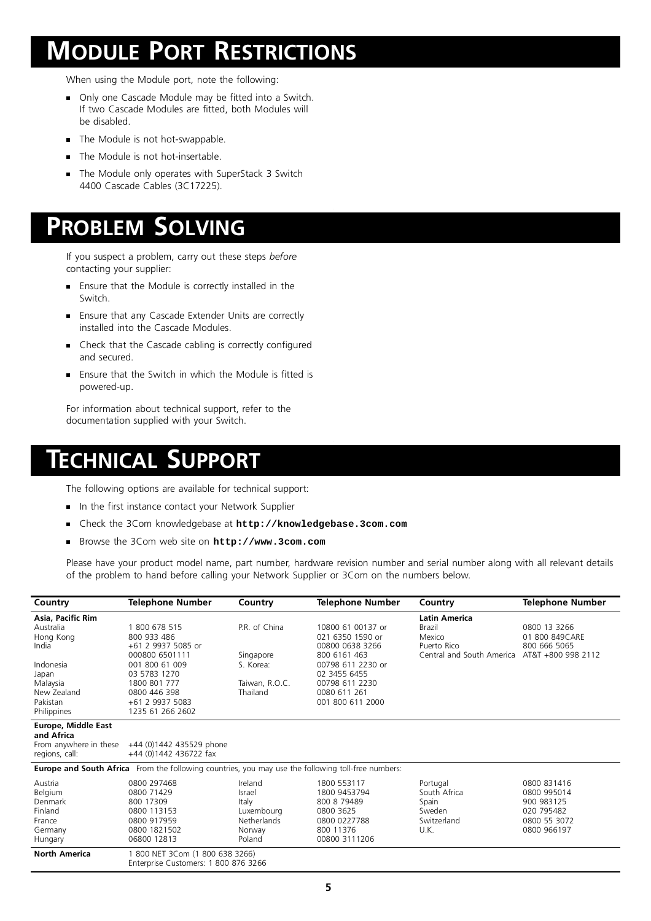## **MODULE PORT RESTRICTIONS**

When using the Module port, note the following:

- **Diamage 1** Only one Cascade Module may be fitted into a Switch. If two Cascade Modules are fitted, both Modules will be disabled.
- **The Module is not hot-swappable.**
- **The Module is not hot-insertable.**
- The Module only operates with SuperStack 3 Switch 4400 Cascade Cables (3C17225).

## **PROBLEM SOLVING**

If you suspect a problem, carry out these steps *before* contacting your supplier:

- Ensure that the Module is correctly installed in the Switch.
- **Ensure that any Cascade Extender Units are correctly** installed into the Cascade Modules.
- **Check that the Cascade cabling is correctly configured** and secured.
- Ensure that the Switch in which the Module is fitted is powered-up.

For information about technical support, refer to the documentation supplied with your Switch.

## **TECHNICAL SUPPORT**

The following options are available for technical support:

- In the first instance contact your Network Supplier
- Check the 3Com knowledgebase at **http://knowledgebase.3com.com**
- Browse the 3Com web site on **http://www.3com.com**

Please have your product model name, part number, hardware revision number and serial number along with all relevant details of the problem to hand before calling your Network Supplier or 3Com on the numbers below.

| Country                                                                                                   | Telephone Number                                   | Country                    | <b>Telephone Number</b>        | Country                   | <b>Telephone Number</b> |  |  |  |
|-----------------------------------------------------------------------------------------------------------|----------------------------------------------------|----------------------------|--------------------------------|---------------------------|-------------------------|--|--|--|
| Asia, Pacific Rim                                                                                         |                                                    |                            |                                | <b>Latin America</b>      |                         |  |  |  |
| Australia                                                                                                 | 1 800 678 515                                      | P.R. of China              | 10800 61 00137 or              | Brazil                    | 0800 13 3266            |  |  |  |
| Hong Kong                                                                                                 | 800 933 486                                        |                            | 021 6350 1590 or               | Mexico                    | 01 800 849 CARE         |  |  |  |
| India                                                                                                     | +61 2 9937 5085 or                                 |                            | 00800 0638 3266                | Puerto Rico               | 800 666 5065            |  |  |  |
|                                                                                                           | 000800 6501111                                     | Singapore                  | 800 6161 463                   | Central and South America | AT&T +800 998 2112      |  |  |  |
| Indonesia                                                                                                 | 001 800 61 009                                     | S. Korea:                  | 00798 611 2230 or              |                           |                         |  |  |  |
| Japan                                                                                                     | 03 5783 1270                                       |                            | 02 3455 6455                   |                           |                         |  |  |  |
| Malaysia<br>New Zealand                                                                                   | 1800 801 777<br>0800 446 398                       | Taiwan, R.O.C.<br>Thailand | 00798 611 2230<br>0080 611 261 |                           |                         |  |  |  |
| Pakistan                                                                                                  | +61 2 9937 5083                                    |                            | 001 800 611 2000               |                           |                         |  |  |  |
| Philippines                                                                                               | 1235 61 266 2602                                   |                            |                                |                           |                         |  |  |  |
|                                                                                                           |                                                    |                            |                                |                           |                         |  |  |  |
| Europe, Middle East                                                                                       |                                                    |                            |                                |                           |                         |  |  |  |
| and Africa                                                                                                |                                                    |                            |                                |                           |                         |  |  |  |
| From anywhere in these                                                                                    | +44 (0)1442 435529 phone<br>+44 (0)1442 436722 fax |                            |                                |                           |                         |  |  |  |
| regions, call:                                                                                            |                                                    |                            |                                |                           |                         |  |  |  |
| <b>Europe and South Africa</b> From the following countries, you may use the following toll-free numbers: |                                                    |                            |                                |                           |                         |  |  |  |
| Austria                                                                                                   | 0800 297468                                        | Ireland                    | 1800 553117                    | Portugal                  | 0800 831416             |  |  |  |
| Belgium                                                                                                   | 0800 71429                                         | Israel                     | 1800 9453794                   | South Africa              | 0800 995014             |  |  |  |
| Denmark                                                                                                   | 800 17309                                          | Italy                      | 800 8 7 9 4 8 9                | Spain                     | 900 983125              |  |  |  |
| Finland                                                                                                   | 0800 113153                                        | Luxembourg                 | 0800 3625                      | Sweden                    | 020 795482              |  |  |  |
| France                                                                                                    | 0800 917959                                        | <b>Netherlands</b>         | 0800 0227788                   | Switzerland               | 0800 55 3072            |  |  |  |
| Germany                                                                                                   | 0800 1821502                                       | Norway                     | 800 11376                      | U.K.                      | 0800 966197             |  |  |  |
| Hungary                                                                                                   | 06800 12813                                        | Poland                     | 00800 3111206                  |                           |                         |  |  |  |
| <b>North America</b>                                                                                      | 1 800 NET 3Com (1 800 638 3266)                    |                            |                                |                           |                         |  |  |  |
|                                                                                                           | Enterprise Customers: 1 800 876 3266               |                            |                                |                           |                         |  |  |  |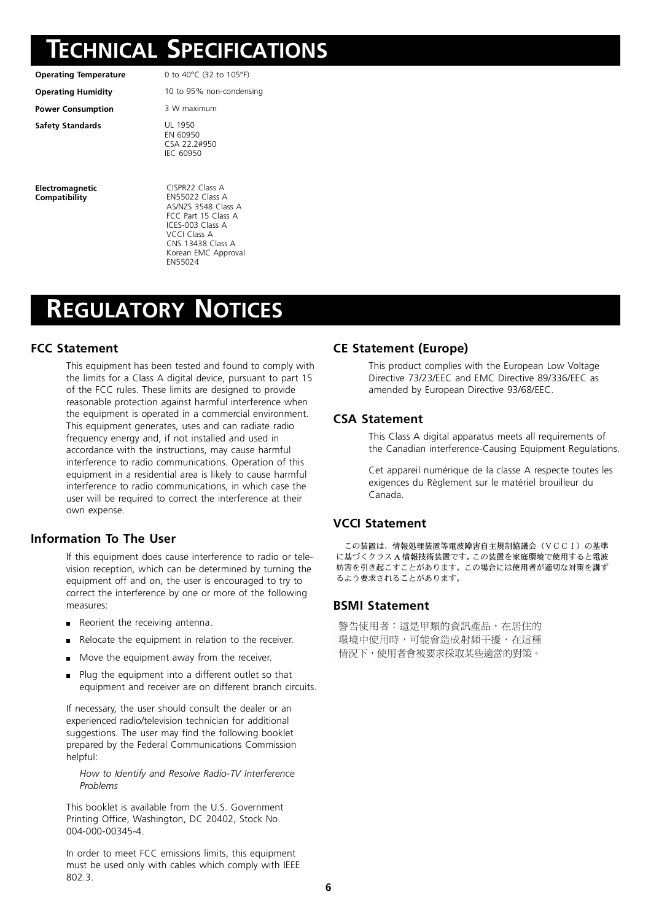## **TECHNICAL SPECIFICATIONS**

**Power Consumption** 3 W maximum

**Safety Standards** UL 1950

**Electromagnetic Compatibility**

**Operating Temperature** 0 to 40°C (32 to 105°F)

**Operating Humidity** 10 to 95% non-condensing

EN 60950 CSA 22.2#950 IEC 60950

CISPR22 Class A EN55022 Class A AS/NZS 3548 Class A FCC Part 15 Class A ICES-003 Class A VCCI Class A CNS 13438 Class A Korean EMC Approval EN55024

# **REGULATORY NOTICES**

### **FCC Statement**

This equipment has been tested and found to comply with the limits for a Class A digital device, pursuant to part 15 of the FCC rules. These limits are designed to provide reasonable protection against harmful interference when the equipment is operated in a commercial environment. This equipment generates, uses and can radiate radio frequency energy and, if not installed and used in accordance with the instructions, may cause harmful interference to radio communications. Operation of this equipment in a residential area is likely to cause harmful interference to radio communications, in which case the user will be required to correct the interference at their own expense.

### **Information To The User**

If this equipment does cause interference to radio or television reception, which can be determined by turning the equipment off and on, the user is encouraged to try to correct the interference by one or more of the following measures:

- Reorient the receiving antenna.
- Relocate the equipment in relation to the receiver.
- **Move the equipment away from the receiver.**
- $\blacksquare$  Plug the equipment into a different outlet so that equipment and receiver are on different branch circuits.

If necessary, the user should consult the dealer or an experienced radio/television technician for additional suggestions. The user may find the following booklet prepared by the Federal Communications Commission helpful:

*How to Identify and Resolve Radio-TV Interference Problems*

This booklet is available from the U.S. Government Printing Office, Washington, DC 20402, Stock No. 004-000-00345-4.

In order to meet FCC emissions limits, this equipment must be used only with cables which comply with IEEE 802.3.

### **CE Statement (Europe)**

This product complies with the European Low Voltage Directive 73/23/EEC and EMC Directive 89/336/EEC as amended by European Directive 93/68/EEC.

### **CSA Statement**

This Class A digital apparatus meets all requirements of the Canadian interference-Causing Equipment Regulations.

Cet appareil numérique de la classe A respecte toutes les exigences du Règlement sur le matériel brouilleur du Canada.

#### **VCCI Statement**

この装置は、情報処理装置等電波障害自主規制協議会(VCCI)の基準 に基づくクラスA情報技術装置です。この装置を家庭環境で使用すると電波 妨害を引き起こすことがあります。この場合には使用者が適切な対策を講ず るよう要求されることがあります。

#### **BSMI Statement**

警告使用者:這是甲類的資訊產品,在居住的 環境中使用時,可能會造成射頻干擾,在這種 情況下,使用者會被要求採取某些適當的對策。